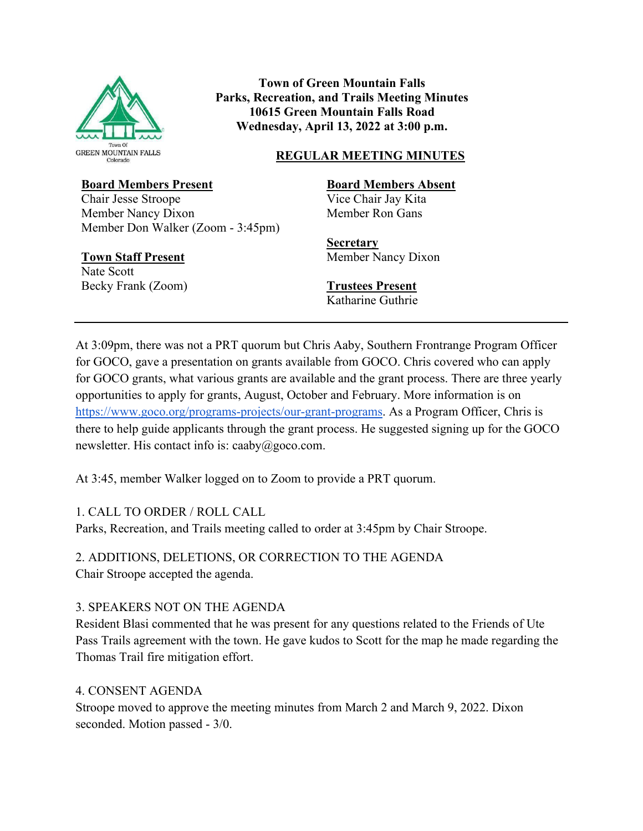

**Town of Green Mountain Falls Parks, Recreation, and Trails Meeting Minutes 10615 Green Mountain Falls Road Wednesday, April 13, 2022 at 3:00 p.m.** 

### **REGULAR MEETING MINUTES**

### **Board Members Present**

Chair Jesse Stroope Member Nancy Dixon Member Don Walker (Zoom - 3:45pm)

### **Town Staff Present**

Nate Scott Becky Frank (Zoom) **Board Members Absent**

Vice Chair Jay Kita Member Ron Gans

**Secretary**  Member Nancy Dixon

**Trustees Present** Katharine Guthrie

At 3:09pm, there was not a PRT quorum but Chris Aaby, Southern Frontrange Program Officer for GOCO, gave a presentation on grants available from GOCO. Chris covered who can apply for GOCO grants, what various grants are available and the grant process. There are three yearly opportunities to apply for grants, August, October and February. More information is on [https://www.goco.org/programs-projects/our-grant-programs.](https://www.goco.org/programs-projects/our-grant-programs) As a Program Officer, Chris is there to help guide applicants through the grant process. He suggested signing up for the GOCO newsletter. His contact info is: caaby@goco.com.

At 3:45, member Walker logged on to Zoom to provide a PRT quorum.

# 1. CALL TO ORDER / ROLL CALL

Parks, Recreation, and Trails meeting called to order at 3:45pm by Chair Stroope.

2. ADDITIONS, DELETIONS, OR CORRECTION TO THE AGENDA Chair Stroope accepted the agenda.

# 3. SPEAKERS NOT ON THE AGENDA

Resident Blasi commented that he was present for any questions related to the Friends of Ute Pass Trails agreement with the town. He gave kudos to Scott for the map he made regarding the Thomas Trail fire mitigation effort.

# 4. CONSENT AGENDA

Stroope moved to approve the meeting minutes from March 2 and March 9, 2022. Dixon seconded. Motion passed - 3/0.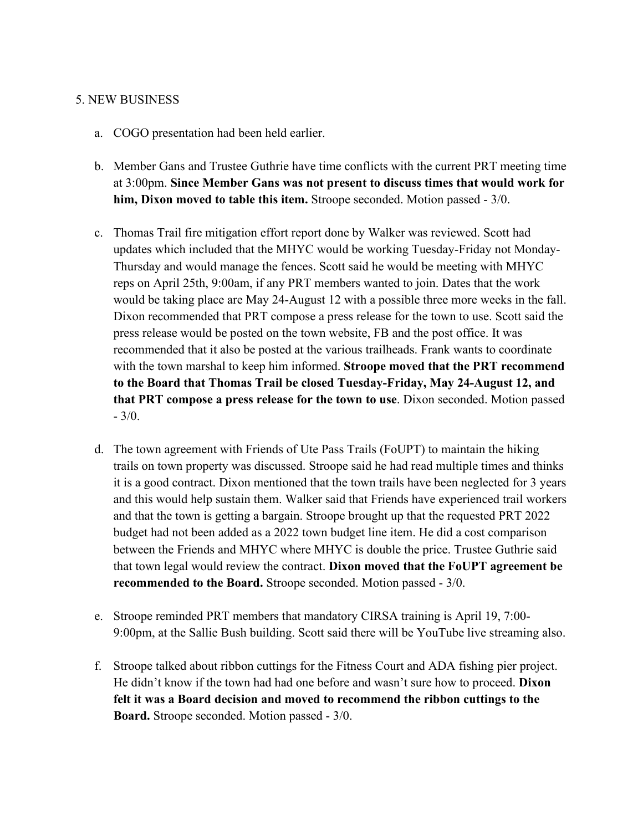#### 5. NEW BUSINESS

- a. COGO presentation had been held earlier.
- b. Member Gans and Trustee Guthrie have time conflicts with the current PRT meeting time at 3:00pm. **Since Member Gans was not present to discuss times that would work for him, Dixon moved to table this item.** Stroope seconded. Motion passed - 3/0.
- c. Thomas Trail fire mitigation effort report done by Walker was reviewed. Scott had updates which included that the MHYC would be working Tuesday-Friday not Monday-Thursday and would manage the fences. Scott said he would be meeting with MHYC reps on April 25th, 9:00am, if any PRT members wanted to join. Dates that the work would be taking place are May 24-August 12 with a possible three more weeks in the fall. Dixon recommended that PRT compose a press release for the town to use. Scott said the press release would be posted on the town website, FB and the post office. It was recommended that it also be posted at the various trailheads. Frank wants to coordinate with the town marshal to keep him informed. **Stroope moved that the PRT recommend to the Board that Thomas Trail be closed Tuesday-Friday, May 24-August 12, and that PRT compose a press release for the town to use**. Dixon seconded. Motion passed - 3/0.
- d. The town agreement with Friends of Ute Pass Trails (FoUPT) to maintain the hiking trails on town property was discussed. Stroope said he had read multiple times and thinks it is a good contract. Dixon mentioned that the town trails have been neglected for 3 years and this would help sustain them. Walker said that Friends have experienced trail workers and that the town is getting a bargain. Stroope brought up that the requested PRT 2022 budget had not been added as a 2022 town budget line item. He did a cost comparison between the Friends and MHYC where MHYC is double the price. Trustee Guthrie said that town legal would review the contract. **Dixon moved that the FoUPT agreement be recommended to the Board.** Stroope seconded. Motion passed - 3/0.
- e. Stroope reminded PRT members that mandatory CIRSA training is April 19, 7:00- 9:00pm, at the Sallie Bush building. Scott said there will be YouTube live streaming also.
- f. Stroope talked about ribbon cuttings for the Fitness Court and ADA fishing pier project. He didn't know if the town had had one before and wasn't sure how to proceed. **Dixon felt it was a Board decision and moved to recommend the ribbon cuttings to the Board.** Stroope seconded. Motion passed - 3/0.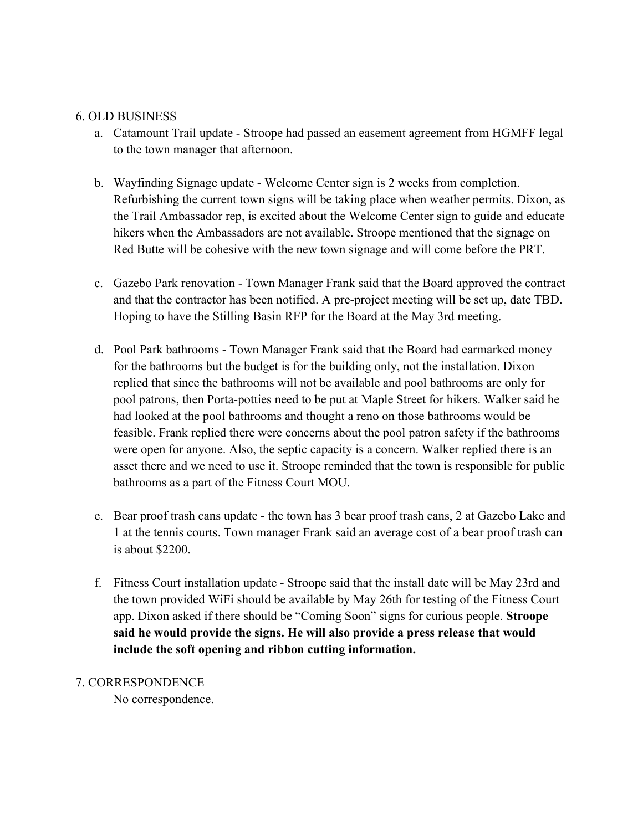#### 6. OLD BUSINESS

- a. Catamount Trail update Stroope had passed an easement agreement from HGMFF legal to the town manager that afternoon.
- b. Wayfinding Signage update Welcome Center sign is 2 weeks from completion. Refurbishing the current town signs will be taking place when weather permits. Dixon, as the Trail Ambassador rep, is excited about the Welcome Center sign to guide and educate hikers when the Ambassadors are not available. Stroope mentioned that the signage on Red Butte will be cohesive with the new town signage and will come before the PRT.
- c. Gazebo Park renovation Town Manager Frank said that the Board approved the contract and that the contractor has been notified. A pre-project meeting will be set up, date TBD. Hoping to have the Stilling Basin RFP for the Board at the May 3rd meeting.
- d. Pool Park bathrooms Town Manager Frank said that the Board had earmarked money for the bathrooms but the budget is for the building only, not the installation. Dixon replied that since the bathrooms will not be available and pool bathrooms are only for pool patrons, then Porta-potties need to be put at Maple Street for hikers. Walker said he had looked at the pool bathrooms and thought a reno on those bathrooms would be feasible. Frank replied there were concerns about the pool patron safety if the bathrooms were open for anyone. Also, the septic capacity is a concern. Walker replied there is an asset there and we need to use it. Stroope reminded that the town is responsible for public bathrooms as a part of the Fitness Court MOU.
- e. Bear proof trash cans update the town has 3 bear proof trash cans, 2 at Gazebo Lake and 1 at the tennis courts. Town manager Frank said an average cost of a bear proof trash can is about \$2200.
- f. Fitness Court installation update Stroope said that the install date will be May 23rd and the town provided WiFi should be available by May 26th for testing of the Fitness Court app. Dixon asked if there should be "Coming Soon" signs for curious people. **Stroope said he would provide the signs. He will also provide a press release that would include the soft opening and ribbon cutting information.**

#### 7. CORRESPONDENCE

No correspondence.